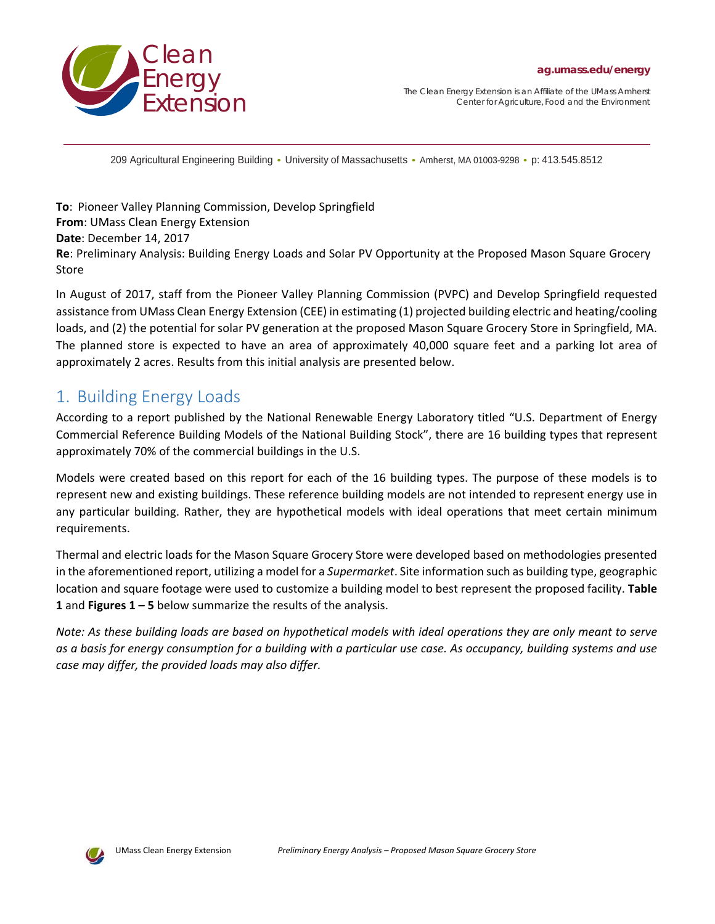

*The Clean Energy Extension is an Affiliate of the UMass Amherst Center for Agriculture, Food and the Environment* 

209 Agricultural Engineering Building • University of Massachusetts • Amherst, MA 01003-9298 • p: 413.545.8512

**To**: Pioneer Valley Planning Commission, Develop Springfield **From**: UMass Clean Energy Extension **Date**: December 14, 2017 **Re**: Preliminary Analysis: Building Energy Loads and Solar PV Opportunity at the Proposed Mason Square Grocery Store

In August of 2017, staff from the Pioneer Valley Planning Commission (PVPC) and Develop Springfield requested assistance from UMass Clean Energy Extension (CEE) in estimating (1) projected building electric and heating/cooling loads, and (2) the potential for solar PV generation at the proposed Mason Square Grocery Store in Springfield, MA. The planned store is expected to have an area of approximately 40,000 square feet and a parking lot area of approximately 2 acres. Results from this initial analysis are presented below.

## 1. Building Energy Loads

According to a report published by the National Renewable Energy Laboratory titled "U.S. Department of Energy Commercial Reference Building Models of the National Building Stock", there are 16 building types that represent approximately 70% of the commercial buildings in the U.S.

Models were created based on this report for each of the 16 building types. The purpose of these models is to represent new and existing buildings. These reference building models are not intended to represent energy use in any particular building. Rather, they are hypothetical models with ideal operations that meet certain minimum requirements.

Thermal and electric loads for the Mason Square Grocery Store were developed based on methodologies presented in the aforementioned report, utilizing a model for a *Supermarket*. Site information such as building type, geographic location and square footage were used to customize a building model to best represent the proposed facility. **Table 1** and **Figures 1 – 5** below summarize the results of the analysis.

*Note: As these building loads are based on hypothetical models with ideal operations they are only meant to serve as a basis for energy consumption for a building with a particular use case. As occupancy, building systems and use case may differ, the provided loads may also differ.*

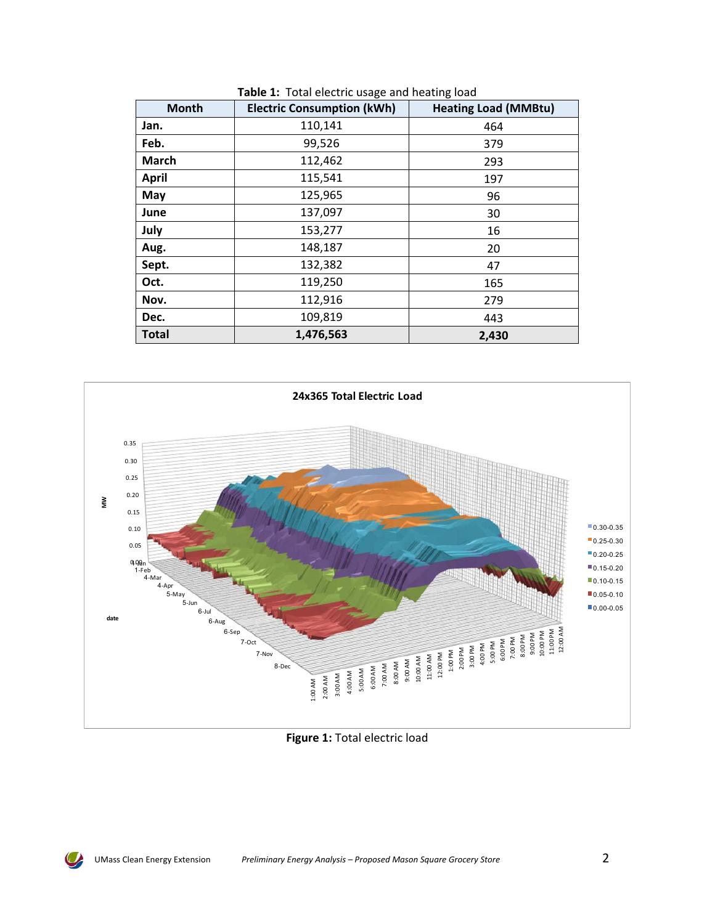| <b>Month</b> | <b>Electric Consumption (kWh)</b> | <b>Heating Load (MMBtu)</b> |
|--------------|-----------------------------------|-----------------------------|
| Jan.         | 110,141                           | 464                         |
| Feb.         | 99,526                            | 379                         |
| <b>March</b> | 112,462                           | 293                         |
| <b>April</b> | 115,541                           | 197                         |
| May          | 125,965                           | 96                          |
| June         | 137,097                           | 30                          |
| July         | 153,277                           | 16                          |
| Aug.         | 148,187                           | 20                          |
| Sept.        | 132,382                           | 47                          |
| Oct.         | 119,250                           | 165                         |
| Nov.         | 112,916                           | 279                         |
| Dec.         | 109,819                           | 443                         |
| <b>Total</b> | 1,476,563                         | 2,430                       |



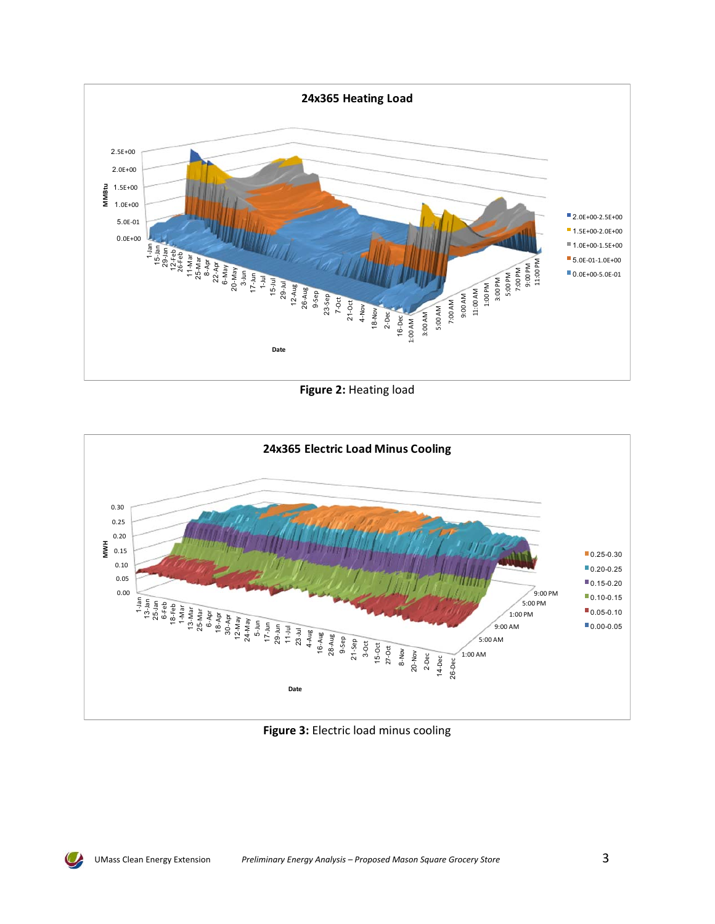

**Figure 2:** Heating load

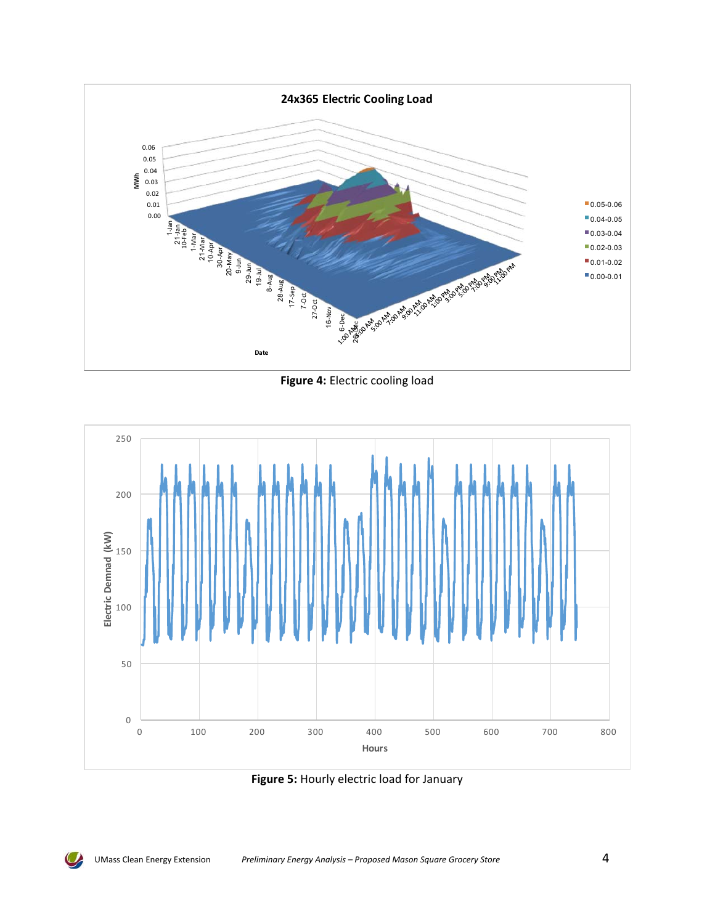

**Figure 4:** Electric cooling load



**Figure 5:** Hourly electric load for January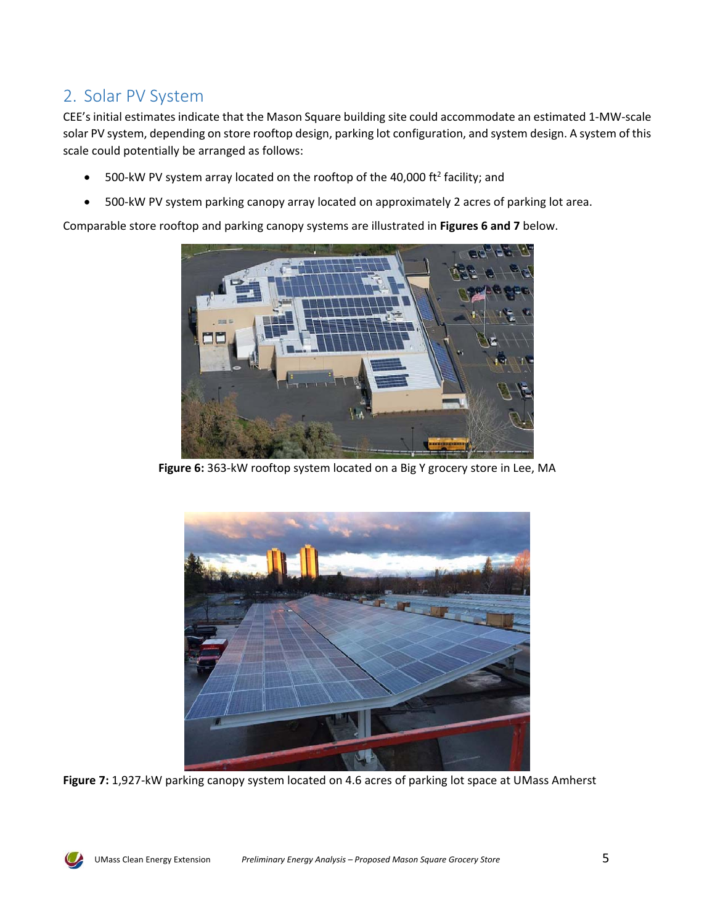## 2. Solar PV System

CEE's initial estimates indicate that the Mason Square building site could accommodate an estimated 1‐MW‐scale solar PV system, depending on store rooftop design, parking lot configuration, and system design. A system of this scale could potentially be arranged as follows:

- 500-kW PV system array located on the rooftop of the 40,000 ft<sup>2</sup> facility; and
- 500‐kW PV system parking canopy array located on approximately 2 acres of parking lot area.

Comparable store rooftop and parking canopy systems are illustrated in **Figures 6 and 7** below.



Figure 6: 363-kW rooftop system located on a Big Y grocery store in Lee, MA



**Figure 7:** 1,927‐kW parking canopy system located on 4.6 acres of parking lot space at UMass Amherst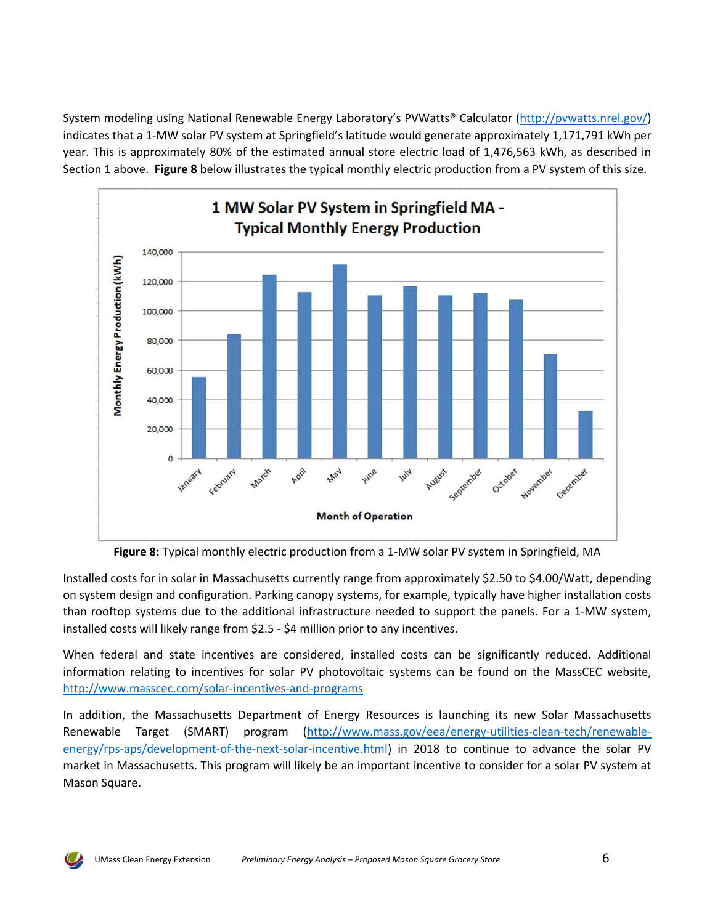System modeling using National Renewable Energy Laboratory's PVWatts® Calculator (http://pvwatts.nrel.gov/) indicates that a 1‐MW solar PV system at Springfield's latitude would generate approximately 1,171,791 kWh per year. This is approximately 80% of the estimated annual store electric load of 1,476,563 kWh, as described in Section 1 above. **Figure 8** below illustrates the typical monthly electric production from a PV system of this size.



**Figure 8:** Typical monthly electric production from a 1‐MW solar PV system in Springfield, MA

Installed costs for in solar in Massachusetts currently range from approximately \$2.50 to \$4.00/Watt, depending on system design and configuration. Parking canopy systems, for example, typically have higher installation costs than rooftop systems due to the additional infrastructure needed to support the panels. For a 1‐MW system, installed costs will likely range from \$2.5 ‐ \$4 million prior to any incentives.

When federal and state incentives are considered, installed costs can be significantly reduced. Additional information relating to incentives for solar PV photovoltaic systems can be found on the MassCEC website, http://www.masscec.com/solar‐incentives‐and‐programs

In addition, the Massachusetts Department of Energy Resources is launching its new Solar Massachusetts Renewable Target (SMART) program (http://www.mass.gov/eea/energy-utilities-clean-tech/renewableenergy/rps-aps/development-of-the-next-solar-incentive.html) in 2018 to continue to advance the solar PV market in Massachusetts. This program will likely be an important incentive to consider for a solar PV system at Mason Square.